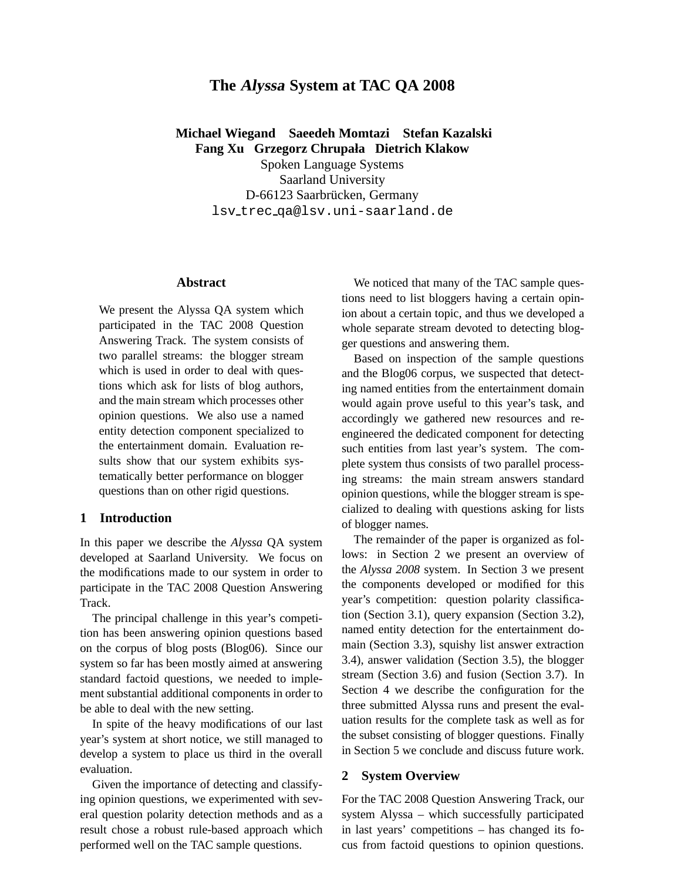# **The Alyssa System at TAC QA 2008**

**Michael Wiegand Saeedeh Momtazi Stefan Kazalski Fang Xu Grzegorz Chrupała Dietrich Klakow**

Spoken Language Systems Saarland University D-66123 Saarbrücken, Germany lsv trec qa@lsv.uni-saarland.de

## **Abstract**

We present the Alyssa QA system which participated in the TAC 2008 Question Answering Track. The system consists of two parallel streams: the blogger stream which is used in order to deal with questions which ask for lists of blog authors, and the main stream which processes other opinion questions. We also use a named entity detection component specialized to the entertainment domain. Evaluation results show that our system exhibits systematically better performance on blogger questions than on other rigid questions.

## **1 Introduction**

In this paper we describe the *Alyssa* QA system developed at Saarland University. We focus on the modifications made to our system in order to participate in the TAC 2008 Question Answering Track.

The principal challenge in this year's competition has been answering opinion questions based on the corpus of blog posts (Blog06). Since our system so far has been mostly aimed at answering standard factoid questions, we needed to implement substantial additional components in order to be able to deal with the new setting.

In spite of the heavy modifications of our last year's system at short notice, we still managed to develop a system to place us third in the overall evaluation.

Given the importance of detecting and classifying opinion questions, we experimented with several question polarity detection methods and as a result chose a robust rule-based approach which performed well on the TAC sample questions.

We noticed that many of the TAC sample questions need to list bloggers having a certain opinion about a certain topic, and thus we developed a whole separate stream devoted to detecting blogger questions and answering them.

Based on inspection of the sample questions and the Blog06 corpus, we suspected that detecting named entities from the entertainment domain would again prove useful to this year's task, and accordingly we gathered new resources and reengineered the dedicated component for detecting such entities from last year's system. The complete system thus consists of two parallel processing streams: the main stream answers standard opinion questions, while the blogger stream is specialized to dealing with questions asking for lists of blogger names.

The remainder of the paper is organized as follows: in Section 2 we present an overview of the *Alyssa 2008* system. In Section 3 we present the components developed or modified for this year's competition: question polarity classification (Section 3.1), query expansion (Section 3.2), named entity detection for the entertainment domain (Section 3.3), squishy list answer extraction 3.4), answer validation (Section 3.5), the blogger stream (Section 3.6) and fusion (Section 3.7). In Section 4 we describe the configuration for the three submitted Alyssa runs and present the evaluation results for the complete task as well as for the subset consisting of blogger questions. Finally in Section 5 we conclude and discuss future work.

#### **2 System Overview**

For the TAC 2008 Question Answering Track, our system Alyssa – which successfully participated in last years' competitions – has changed its focus from factoid questions to opinion questions.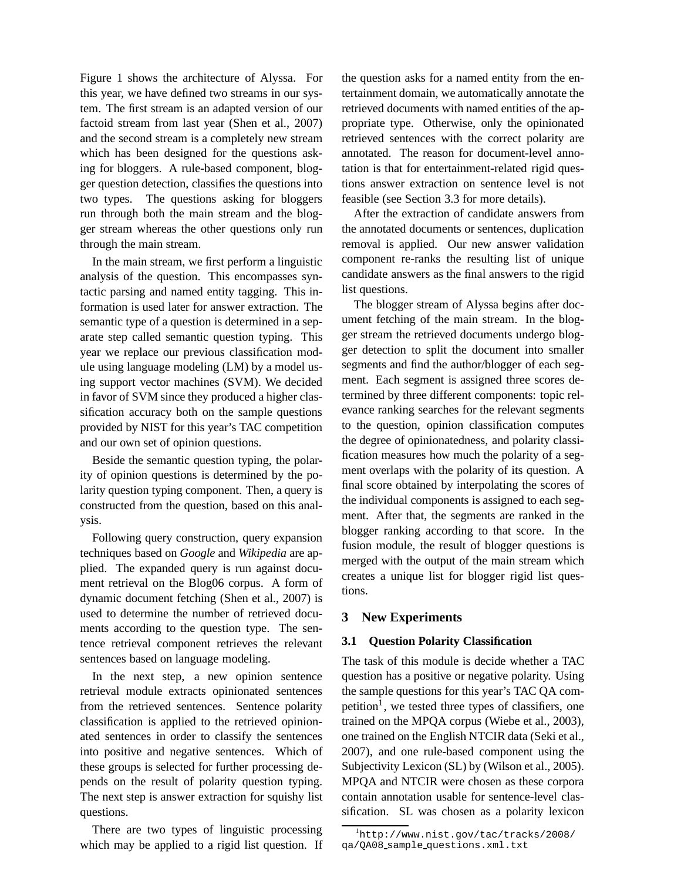Figure 1 shows the architecture of Alyssa. For this year, we have defined two streams in our system. The first stream is an adapted version of our factoid stream from last year (Shen et al., 2007) and the second stream is a completely new stream which has been designed for the questions asking for bloggers. A rule-based component, blogger question detection, classifies the questions into two types. The questions asking for bloggers run through both the main stream and the blogger stream whereas the other questions only run through the main stream.

In the main stream, we first perform a linguistic analysis of the question. This encompasses syntactic parsing and named entity tagging. This information is used later for answer extraction. The semantic type of a question is determined in a separate step called semantic question typing. This year we replace our previous classification module using language modeling (LM) by a model using support vector machines (SVM). We decided in favor of SVM since they produced a higher classification accuracy both on the sample questions provided by NIST for this year's TAC competition and our own set of opinion questions.

Beside the semantic question typing, the polarity of opinion questions is determined by the polarity question typing component. Then, a query is constructed from the question, based on this analysis.

Following query construction, query expansion techniques based on *Google* and *Wikipedia* are applied. The expanded query is run against document retrieval on the Blog06 corpus. A form of dynamic document fetching (Shen et al., 2007) is used to determine the number of retrieved documents according to the question type. The sentence retrieval component retrieves the relevant sentences based on language modeling.

In the next step, a new opinion sentence retrieval module extracts opinionated sentences from the retrieved sentences. Sentence polarity classification is applied to the retrieved opinionated sentences in order to classify the sentences into positive and negative sentences. Which of these groups is selected for further processing depends on the result of polarity question typing. The next step is answer extraction for squishy list questions.

There are two types of linguistic processing which may be applied to a rigid list question. If the question asks for a named entity from the entertainment domain, we automatically annotate the retrieved documents with named entities of the appropriate type. Otherwise, only the opinionated retrieved sentences with the correct polarity are annotated. The reason for document-level annotation is that for entertainment-related rigid questions answer extraction on sentence level is not feasible (see Section 3.3 for more details).

After the extraction of candidate answers from the annotated documents or sentences, duplication removal is applied. Our new answer validation component re-ranks the resulting list of unique candidate answers as the final answers to the rigid list questions.

The blogger stream of Alyssa begins after document fetching of the main stream. In the blogger stream the retrieved documents undergo blogger detection to split the document into smaller segments and find the author/blogger of each segment. Each segment is assigned three scores determined by three different components: topic relevance ranking searches for the relevant segments to the question, opinion classification computes the degree of opinionatedness, and polarity classification measures how much the polarity of a segment overlaps with the polarity of its question. A final score obtained by interpolating the scores of the individual components is assigned to each segment. After that, the segments are ranked in the blogger ranking according to that score. In the fusion module, the result of blogger questions is merged with the output of the main stream which creates a unique list for blogger rigid list questions.

# **3 New Experiments**

# **3.1 Question Polarity Classification**

The task of this module is decide whether a TAC question has a positive or negative polarity. Using the sample questions for this year's TAC QA competition<sup>1</sup>, we tested three types of classifiers, one trained on the MPQA corpus (Wiebe et al., 2003), one trained on the English NTCIR data (Seki et al., 2007), and one rule-based component using the Subjectivity Lexicon (SL) by (Wilson et al., 2005). MPQA and NTCIR were chosen as these corpora contain annotation usable for sentence-level classification. SL was chosen as a polarity lexicon

 $1$ http://www.nist.gov/tac/tracks/2008/ qa/QA08 sample questions.xml.txt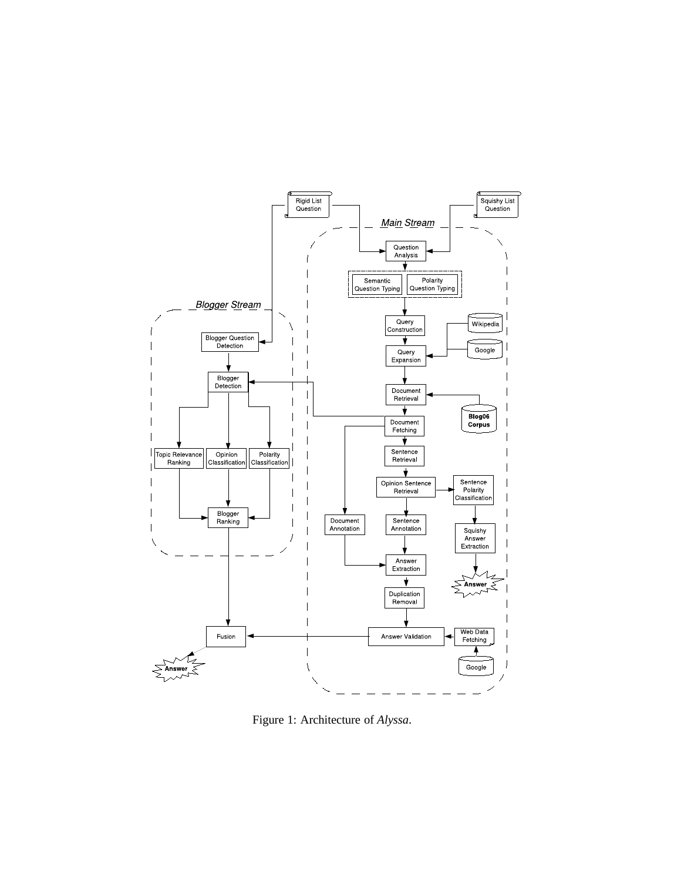

Figure 1: Architecture of *Alyssa*.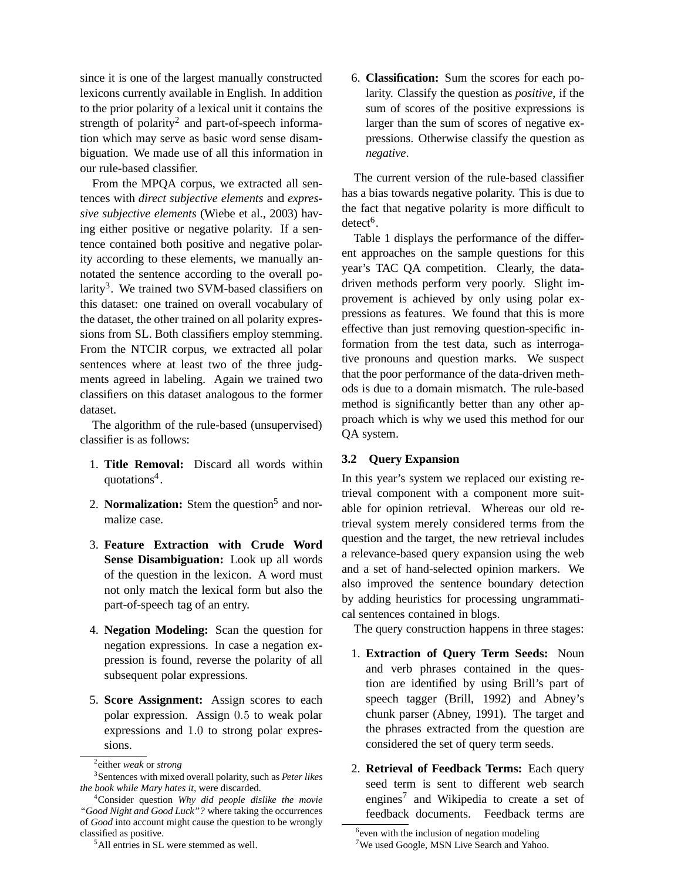since it is one of the largest manually constructed lexicons currently available in English. In addition to the prior polarity of a lexical unit it contains the strength of polarity<sup>2</sup> and part-of-speech information which may serve as basic word sense disambiguation. We made use of all this information in our rule-based classifier.

From the MPQA corpus, we extracted all sentences with *direct subjective elements* and *expressive subjective elements* (Wiebe et al., 2003) having either positive or negative polarity. If a sentence contained both positive and negative polarity according to these elements, we manually annotated the sentence according to the overall polarity<sup>3</sup>. We trained two SVM-based classifiers on this dataset: one trained on overall vocabulary of the dataset, the other trained on all polarity expressions from SL. Both classifiers employ stemming. From the NTCIR corpus, we extracted all polar sentences where at least two of the three judgments agreed in labeling. Again we trained two classifiers on this dataset analogous to the former dataset.

The algorithm of the rule-based (unsupervised) classifier is as follows:

- 1. **Title Removal:** Discard all words within quotations<sup>4</sup>.
- 2. **Normalization:** Stem the question<sup>5</sup> and normalize case.
- 3. **Feature Extraction with Crude Word Sense Disambiguation:** Look up all words of the question in the lexicon. A word must not only match the lexical form but also the part-of-speech tag of an entry.
- 4. **Negation Modeling:** Scan the question for negation expressions. In case a negation expression is found, reverse the polarity of all subsequent polar expressions.
- 5. **Score Assignment:** Assign scores to each polar expression. Assign 0.5 to weak polar expressions and 1.0 to strong polar expressions.

6. **Classification:** Sum the scores for each polarity. Classify the question as *positive*, if the sum of scores of the positive expressions is larger than the sum of scores of negative expressions. Otherwise classify the question as *negative*.

The current version of the rule-based classifier has a bias towards negative polarity. This is due to the fact that negative polarity is more difficult to  $\text{detect}^6$ .

Table 1 displays the performance of the different approaches on the sample questions for this year's TAC QA competition. Clearly, the datadriven methods perform very poorly. Slight improvement is achieved by only using polar expressions as features. We found that this is more effective than just removing question-specific information from the test data, such as interrogative pronouns and question marks. We suspect that the poor performance of the data-driven methods is due to a domain mismatch. The rule-based method is significantly better than any other approach which is why we used this method for our QA system.

# **3.2 Query Expansion**

In this year's system we replaced our existing retrieval component with a component more suitable for opinion retrieval. Whereas our old retrieval system merely considered terms from the question and the target, the new retrieval includes a relevance-based query expansion using the web and a set of hand-selected opinion markers. We also improved the sentence boundary detection by adding heuristics for processing ungrammatical sentences contained in blogs.

The query construction happens in three stages:

- 1. **Extraction of Query Term Seeds:** Noun and verb phrases contained in the question are identified by using Brill's part of speech tagger (Brill, 1992) and Abney's chunk parser (Abney, 1991). The target and the phrases extracted from the question are considered the set of query term seeds.
- 2. **Retrieval of Feedback Terms:** Each query seed term is sent to different web search engines<sup>7</sup> and Wikipedia to create a set of feedback documents. Feedback terms are

<sup>2</sup> either *weak* or *strong*

<sup>3</sup> Sentences with mixed overall polarity, such as *Peter likes the book while Mary hates it*, were discarded.

<sup>4</sup>Consider question *Why did people dislike the movie "Good Night and Good Luck"?* where taking the occurrences of *Good* into account might cause the question to be wrongly classified as positive.

<sup>5</sup>All entries in SL were stemmed as well.

<sup>&</sup>lt;sup>6</sup> even with the inclusion of negation modeling

<sup>&</sup>lt;sup>7</sup>We used Google, MSN Live Search and Yahoo.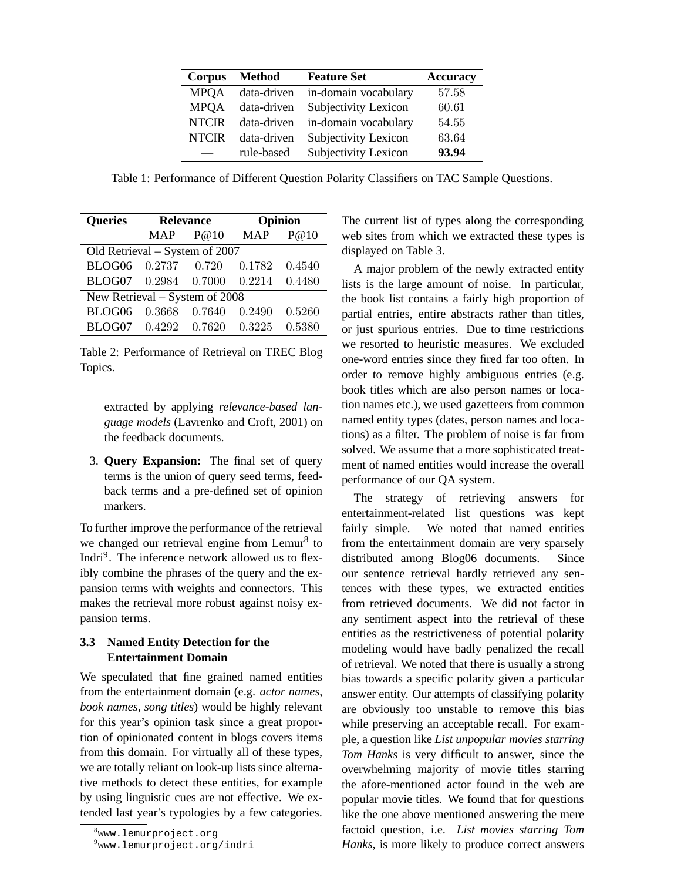| Corpus       | Method      | <b>Feature Set</b>   | <b>Accuracy</b> |
|--------------|-------------|----------------------|-----------------|
| <b>MPOA</b>  | data-driven | in-domain vocabulary | 57.58           |
| <b>MPOA</b>  | data-driven | Subjectivity Lexicon | 60.61           |
| <b>NTCIR</b> | data-driven | in-domain vocabulary | 54.55           |
| <b>NTCIR</b> | data-driven | Subjectivity Lexicon | 63.64           |
|              | rule-based  | Subjectivity Lexicon | 93.94           |

Table 1: Performance of Different Question Polarity Classifiers on TAC Sample Questions.

| <b>Queries</b>                     | <b>Relevance</b> |              | Opinion |              |
|------------------------------------|------------------|--------------|---------|--------------|
|                                    |                  | $MAP$ $P@10$ |         | $MAP \tP@10$ |
| Old Retrieval – System of 2007     |                  |              |         |              |
| BLOG06 0.2737 0.720 0.1782         |                  |              |         | 0.4540       |
| BLOG07 0.2984 0.7000 0.2214 0.4480 |                  |              |         |              |
| New Retrieval – System of 2008     |                  |              |         |              |
| BLOG06                             | 0.3668           | 0.7640       | 0.2490  | 0.5260       |
| BLOG07 0.4292 0.7620 0.3225        |                  |              |         | 0.5380       |

Table 2: Performance of Retrieval on TREC Blog Topics.

extracted by applying *relevance-based language models* (Lavrenko and Croft, 2001) on the feedback documents.

3. **Query Expansion:** The final set of query terms is the union of query seed terms, feedback terms and a pre-defined set of opinion markers.

To further improve the performance of the retrieval we changed our retrieval engine from Lemur<sup>8</sup> to Indri<sup>9</sup>. The inference network allowed us to flexibly combine the phrases of the query and the expansion terms with weights and connectors. This makes the retrieval more robust against noisy expansion terms.

# **3.3 Named Entity Detection for the Entertainment Domain**

We speculated that fine grained named entities from the entertainment domain (e.g. *actor names*, *book names*, *song titles*) would be highly relevant for this year's opinion task since a great proportion of opinionated content in blogs covers items from this domain. For virtually all of these types, we are totally reliant on look-up lists since alternative methods to detect these entities, for example by using linguistic cues are not effective. We extended last year's typologies by a few categories. The current list of types along the corresponding web sites from which we extracted these types is displayed on Table 3.

A major problem of the newly extracted entity lists is the large amount of noise. In particular, the book list contains a fairly high proportion of partial entries, entire abstracts rather than titles, or just spurious entries. Due to time restrictions we resorted to heuristic measures. We excluded one-word entries since they fired far too often. In order to remove highly ambiguous entries (e.g. book titles which are also person names or location names etc.), we used gazetteers from common named entity types (dates, person names and locations) as a filter. The problem of noise is far from solved. We assume that a more sophisticated treatment of named entities would increase the overall performance of our QA system.

The strategy of retrieving answers for entertainment-related list questions was kept fairly simple. We noted that named entities from the entertainment domain are very sparsely distributed among Blog06 documents. Since our sentence retrieval hardly retrieved any sentences with these types, we extracted entities from retrieved documents. We did not factor in any sentiment aspect into the retrieval of these entities as the restrictiveness of potential polarity modeling would have badly penalized the recall of retrieval. We noted that there is usually a strong bias towards a specific polarity given a particular answer entity. Our attempts of classifying polarity are obviously too unstable to remove this bias while preserving an acceptable recall. For example, a question like *List unpopular movies starring Tom Hanks* is very difficult to answer, since the overwhelming majority of movie titles starring the afore-mentioned actor found in the web are popular movie titles. We found that for questions like the one above mentioned answering the mere factoid question, i.e. *List movies starring Tom Hanks*, is more likely to produce correct answers

<sup>8</sup>www.lemurproject.org

<sup>9</sup>www.lemurproject.org/indri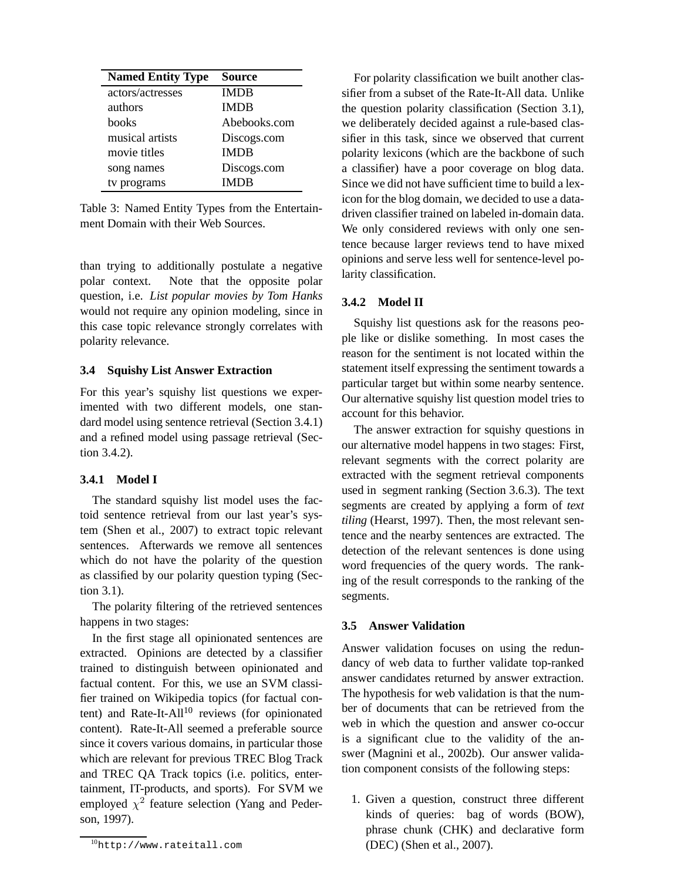| <b>Named Entity Type</b> | <b>Source</b> |
|--------------------------|---------------|
| actors/actresses         | <b>IMDB</b>   |
| authors                  | <b>IMDB</b>   |
| books                    | Abebooks.com  |
| musical artists          | Discogs.com   |
| movie titles             | <b>IMDB</b>   |
| song names               | Discogs.com   |
| tv programs              | IMDB          |

Table 3: Named Entity Types from the Entertainment Domain with their Web Sources.

than trying to additionally postulate a negative polar context. Note that the opposite polar question, i.e. *List popular movies by Tom Hanks* would not require any opinion modeling, since in this case topic relevance strongly correlates with polarity relevance.

# **3.4 Squishy List Answer Extraction**

For this year's squishy list questions we experimented with two different models, one standard model using sentence retrieval (Section 3.4.1) and a refined model using passage retrieval (Section 3.4.2).

# **3.4.1 Model I**

The standard squishy list model uses the factoid sentence retrieval from our last year's system (Shen et al., 2007) to extract topic relevant sentences. Afterwards we remove all sentences which do not have the polarity of the question as classified by our polarity question typing (Section 3.1).

The polarity filtering of the retrieved sentences happens in two stages:

In the first stage all opinionated sentences are extracted. Opinions are detected by a classifier trained to distinguish between opinionated and factual content. For this, we use an SVM classifier trained on Wikipedia topics (for factual content) and Rate-It-All<sup>10</sup> reviews (for opinionated content). Rate-It-All seemed a preferable source since it covers various domains, in particular those which are relevant for previous TREC Blog Track and TREC QA Track topics (i.e. politics, entertainment, IT-products, and sports). For SVM we employed  $\chi^2$  feature selection (Yang and Pederson, 1997).

For polarity classification we built another classifier from a subset of the Rate-It-All data. Unlike the question polarity classification (Section 3.1), we deliberately decided against a rule-based classifier in this task, since we observed that current polarity lexicons (which are the backbone of such a classifier) have a poor coverage on blog data. Since we did not have sufficient time to build a lexicon for the blog domain, we decided to use a datadriven classifier trained on labeled in-domain data. We only considered reviews with only one sentence because larger reviews tend to have mixed opinions and serve less well for sentence-level polarity classification.

# **3.4.2 Model II**

Squishy list questions ask for the reasons people like or dislike something. In most cases the reason for the sentiment is not located within the statement itself expressing the sentiment towards a particular target but within some nearby sentence. Our alternative squishy list question model tries to account for this behavior.

The answer extraction for squishy questions in our alternative model happens in two stages: First, relevant segments with the correct polarity are extracted with the segment retrieval components used in segment ranking (Section 3.6.3). The text segments are created by applying a form of *text tiling* (Hearst, 1997). Then, the most relevant sentence and the nearby sentences are extracted. The detection of the relevant sentences is done using word frequencies of the query words. The ranking of the result corresponds to the ranking of the segments.

## **3.5 Answer Validation**

Answer validation focuses on using the redundancy of web data to further validate top-ranked answer candidates returned by answer extraction. The hypothesis for web validation is that the number of documents that can be retrieved from the web in which the question and answer co-occur is a significant clue to the validity of the answer (Magnini et al., 2002b). Our answer validation component consists of the following steps:

1. Given a question, construct three different kinds of queries: bag of words (BOW), phrase chunk (CHK) and declarative form (DEC) (Shen et al., 2007).

<sup>10</sup>http://www.rateitall.com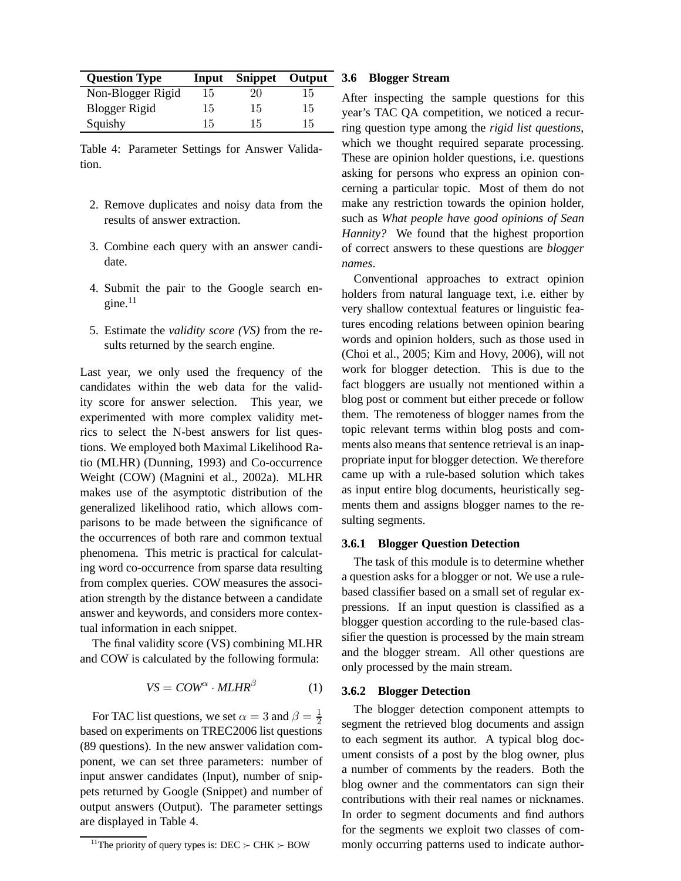| <b>Question Type</b> |    | <b>Input Snippet Output</b> |    |
|----------------------|----|-----------------------------|----|
| Non-Blogger Rigid    | 15 | 20                          | 15 |
| Blogger Rigid        | 15 | 15                          | 15 |
| Squishy              | 15 | 15                          | 15 |

Table 4: Parameter Settings for Answer Validation.

- 2. Remove duplicates and noisy data from the results of answer extraction.
- 3. Combine each query with an answer candidate.
- 4. Submit the pair to the Google search engine. $11$
- 5. Estimate the *validity score (VS)* from the results returned by the search engine.

Last year, we only used the frequency of the candidates within the web data for the validity score for answer selection. This year, we experimented with more complex validity metrics to select the N-best answers for list questions. We employed both Maximal Likelihood Ratio (MLHR) (Dunning, 1993) and Co-occurrence Weight (COW) (Magnini et al., 2002a). MLHR makes use of the asymptotic distribution of the generalized likelihood ratio, which allows comparisons to be made between the significance of the occurrences of both rare and common textual phenomena. This metric is practical for calculating word co-occurrence from sparse data resulting from complex queries. COW measures the association strength by the distance between a candidate answer and keywords, and considers more contextual information in each snippet.

The final validity score (VS) combining MLHR and COW is calculated by the following formula:

$$
VS = \text{COW}^{\alpha} \cdot \text{MLHR}^{\beta} \tag{1}
$$

For TAC list questions, we set  $\alpha = 3$  and  $\beta = \frac{1}{2}$  $\overline{2}$ based on experiments on TREC2006 list questions (89 questions). In the new answer validation component, we can set three parameters: number of input answer candidates (Input), number of snippets returned by Google (Snippet) and number of output answers (Output). The parameter settings are displayed in Table 4.

#### **3.6 Blogger Stream**

After inspecting the sample questions for this year's TAC QA competition, we noticed a recurring question type among the *rigid list questions*, which we thought required separate processing. These are opinion holder questions, i.e. questions asking for persons who express an opinion concerning a particular topic. Most of them do not make any restriction towards the opinion holder, such as *What people have good opinions of Sean Hannity?* We found that the highest proportion of correct answers to these questions are *blogger names*.

Conventional approaches to extract opinion holders from natural language text, i.e. either by very shallow contextual features or linguistic features encoding relations between opinion bearing words and opinion holders, such as those used in (Choi et al., 2005; Kim and Hovy, 2006), will not work for blogger detection. This is due to the fact bloggers are usually not mentioned within a blog post or comment but either precede or follow them. The remoteness of blogger names from the topic relevant terms within blog posts and comments also means that sentence retrieval is an inappropriate input for blogger detection. We therefore came up with a rule-based solution which takes as input entire blog documents, heuristically segments them and assigns blogger names to the resulting segments.

## **3.6.1 Blogger Question Detection**

The task of this module is to determine whether a question asks for a blogger or not. We use a rulebased classifier based on a small set of regular expressions. If an input question is classified as a blogger question according to the rule-based classifier the question is processed by the main stream and the blogger stream. All other questions are only processed by the main stream.

#### **3.6.2 Blogger Detection**

The blogger detection component attempts to segment the retrieved blog documents and assign to each segment its author. A typical blog document consists of a post by the blog owner, plus a number of comments by the readers. Both the blog owner and the commentators can sign their contributions with their real names or nicknames. In order to segment documents and find authors for the segments we exploit two classes of commonly occurring patterns used to indicate author-

<sup>&</sup>lt;sup>11</sup>The priority of query types is: DEC  $\succ$  CHK  $\succ$  BOW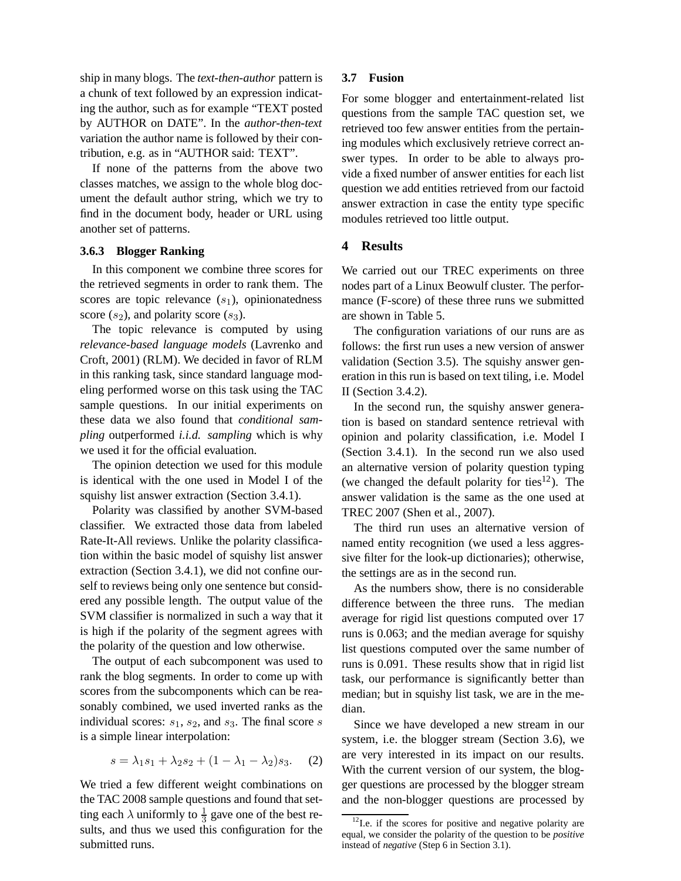ship in many blogs. The *text-then-author* pattern is a chunk of text followed by an expression indicating the author, such as for example "TEXT posted by AUTHOR on DATE". In the *author-then-text* variation the author name is followed by their contribution, e.g. as in "AUTHOR said: TEXT".

If none of the patterns from the above two classes matches, we assign to the whole blog document the default author string, which we try to find in the document body, header or URL using another set of patterns.

## **3.6.3 Blogger Ranking**

In this component we combine three scores for the retrieved segments in order to rank them. The scores are topic relevance  $(s_1)$ , opinionatedness score  $(s_2)$ , and polarity score  $(s_3)$ .

The topic relevance is computed by using *relevance-based language models* (Lavrenko and Croft, 2001) (RLM). We decided in favor of RLM in this ranking task, since standard language modeling performed worse on this task using the TAC sample questions. In our initial experiments on these data we also found that *conditional sampling* outperformed *i.i.d. sampling* which is why we used it for the official evaluation.

The opinion detection we used for this module is identical with the one used in Model I of the squishy list answer extraction (Section 3.4.1).

Polarity was classified by another SVM-based classifier. We extracted those data from labeled Rate-It-All reviews. Unlike the polarity classification within the basic model of squishy list answer extraction (Section 3.4.1), we did not confine ourself to reviews being only one sentence but considered any possible length. The output value of the SVM classifier is normalized in such a way that it is high if the polarity of the segment agrees with the polarity of the question and low otherwise.

The output of each subcomponent was used to rank the blog segments. In order to come up with scores from the subcomponents which can be reasonably combined, we used inverted ranks as the individual scores:  $s_1$ ,  $s_2$ , and  $s_3$ . The final score s is a simple linear interpolation:

$$
s = \lambda_1 s_1 + \lambda_2 s_2 + (1 - \lambda_1 - \lambda_2)s_3. \tag{2}
$$

We tried a few different weight combinations on the TAC 2008 sample questions and found that setting each  $\lambda$  uniformly to  $\frac{1}{3}$  gave one of the best results, and thus we used this configuration for the submitted runs.

## **3.7 Fusion**

For some blogger and entertainment-related list questions from the sample TAC question set, we retrieved too few answer entities from the pertaining modules which exclusively retrieve correct answer types. In order to be able to always provide a fixed number of answer entities for each list question we add entities retrieved from our factoid answer extraction in case the entity type specific modules retrieved too little output.

# **4 Results**

We carried out our TREC experiments on three nodes part of a Linux Beowulf cluster. The performance (F-score) of these three runs we submitted are shown in Table 5.

The configuration variations of our runs are as follows: the first run uses a new version of answer validation (Section 3.5). The squishy answer generation in this run is based on text tiling, i.e. Model II (Section 3.4.2).

In the second run, the squishy answer generation is based on standard sentence retrieval with opinion and polarity classification, i.e. Model I (Section 3.4.1). In the second run we also used an alternative version of polarity question typing (we changed the default polarity for ties<sup>12</sup>). The answer validation is the same as the one used at TREC 2007 (Shen et al., 2007).

The third run uses an alternative version of named entity recognition (we used a less aggressive filter for the look-up dictionaries); otherwise, the settings are as in the second run.

As the numbers show, there is no considerable difference between the three runs. The median average for rigid list questions computed over 17 runs is 0.063; and the median average for squishy list questions computed over the same number of runs is 0.091. These results show that in rigid list task, our performance is significantly better than median; but in squishy list task, we are in the median.

Since we have developed a new stream in our system, i.e. the blogger stream (Section 3.6), we are very interested in its impact on our results. With the current version of our system, the blogger questions are processed by the blogger stream and the non-blogger questions are processed by

 $12$ I.e. if the scores for positive and negative polarity are equal, we consider the polarity of the question to be *positive* instead of *negative* (Step 6 in Section 3.1).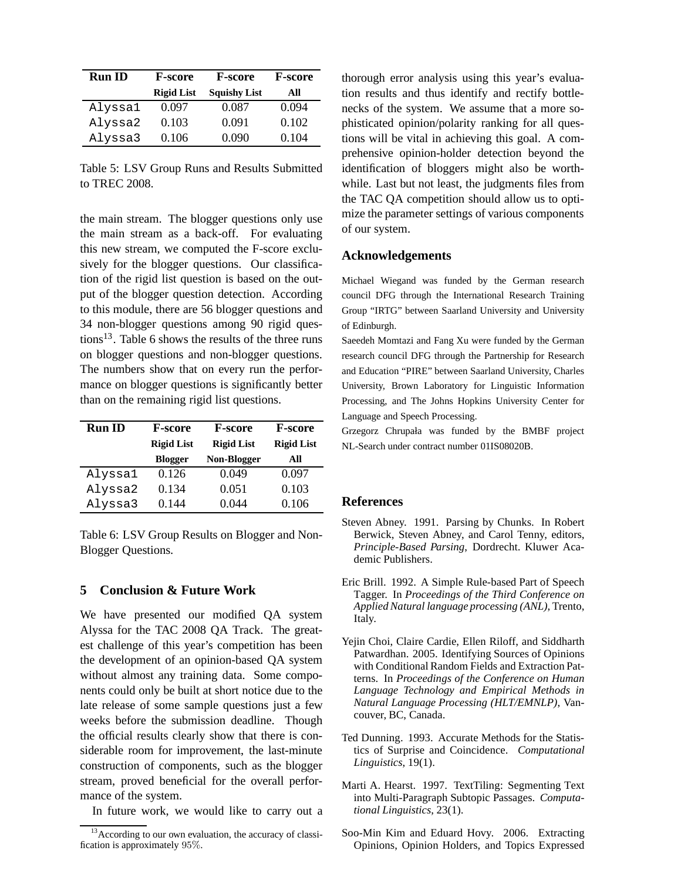| <b>Run ID</b><br><b>F-score</b> |                   | <b>F-score</b>      | <b>F-score</b> |
|---------------------------------|-------------------|---------------------|----------------|
|                                 | <b>Rigid List</b> | <b>Squishy List</b> | All            |
| Alyssa1                         | 0.097             | 0.087               | 0.094          |
| Alyssa2                         | 0.103             | 0.091               | 0.102          |
| Alyssa3                         | 0.106             | 0.090               | 0.104          |

Table 5: LSV Group Runs and Results Submitted to TREC 2008.

the main stream. The blogger questions only use the main stream as a back-off. For evaluating this new stream, we computed the F-score exclusively for the blogger questions. Our classification of the rigid list question is based on the output of the blogger question detection. According to this module, there are 56 blogger questions and 34 non-blogger questions among 90 rigid questions13. Table 6 shows the results of the three runs on blogger questions and non-blogger questions. The numbers show that on every run the performance on blogger questions is significantly better than on the remaining rigid list questions.

| <b>Run ID</b> | <b>F-score</b>    | <b>F-score</b>    | <b>F-score</b>    |
|---------------|-------------------|-------------------|-------------------|
|               | <b>Rigid List</b> | <b>Rigid List</b> | <b>Rigid List</b> |
|               | <b>Blogger</b>    | Non-Blogger       | All               |
| Alyssa1       | 0.126             | 0.049             | 0.097             |
| Alyssa2       | 0.134             | 0.051             | 0.103             |
| Alyssa3       | 0.144             | 0 044             | 0.106             |

Table 6: LSV Group Results on Blogger and Non-Blogger Questions.

## **5 Conclusion & Future Work**

We have presented our modified QA system Alyssa for the TAC 2008 QA Track. The greatest challenge of this year's competition has been the development of an opinion-based QA system without almost any training data. Some components could only be built at short notice due to the late release of some sample questions just a few weeks before the submission deadline. Though the official results clearly show that there is considerable room for improvement, the last-minute construction of components, such as the blogger stream, proved beneficial for the overall performance of the system.

In future work, we would like to carry out a

thorough error analysis using this year's evaluation results and thus identify and rectify bottlenecks of the system. We assume that a more sophisticated opinion/polarity ranking for all questions will be vital in achieving this goal. A comprehensive opinion-holder detection beyond the identification of bloggers might also be worthwhile. Last but not least, the judgments files from the TAC QA competition should allow us to optimize the parameter settings of various components of our system.

# **Acknowledgements**

Michael Wiegand was funded by the German research council DFG through the International Research Training Group "IRTG" between Saarland University and University of Edinburgh.

Saeedeh Momtazi and Fang Xu were funded by the German research council DFG through the Partnership for Research and Education "PIRE" between Saarland University, Charles University, Brown Laboratory for Linguistic Information Processing, and The Johns Hopkins University Center for Language and Speech Processing.

Grzegorz Chrupała was funded by the BMBF project NL-Search under contract number 01IS08020B.

# **References**

- Steven Abney. 1991. Parsing by Chunks. In Robert Berwick, Steven Abney, and Carol Tenny, editors, *Principle-Based Parsing*, Dordrecht. Kluwer Academic Publishers.
- Eric Brill. 1992. A Simple Rule-based Part of Speech Tagger. In *Proceedings of the Third Conference on Applied Natural language processing (ANL)*, Trento, Italy.
- Yejin Choi, Claire Cardie, Ellen Riloff, and Siddharth Patwardhan. 2005. Identifying Sources of Opinions with Conditional Random Fields and Extraction Patterns. In *Proceedings of the Conference on Human Language Technology and Empirical Methods in Natural Language Processing (HLT/EMNLP)*, Vancouver, BC, Canada.
- Ted Dunning. 1993. Accurate Methods for the Statistics of Surprise and Coincidence. *Computational Linguistics*, 19(1).
- Marti A. Hearst. 1997. TextTiling: Segmenting Text into Multi-Paragraph Subtopic Passages. *Computational Linguistics*, 23(1).
- Soo-Min Kim and Eduard Hovy. 2006. Extracting Opinions, Opinion Holders, and Topics Expressed

<sup>&</sup>lt;sup>13</sup> According to our own evaluation, the accuracy of classification is approximately 95%.